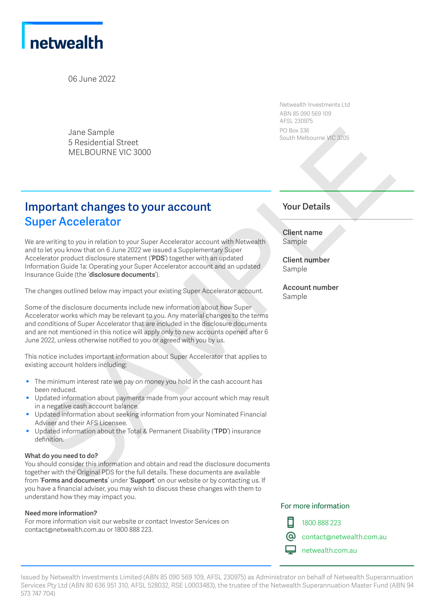

06 June 2022

Jane Sample 5 Residential Street MELBOURNE VIC 3000

## **Important changes to your account Super Accelerator**

We are writing to you in relation to your Super Accelerator account with Netwealth and to let you know that on 6 June 2022 we issued a Supplementary Super Accelerator product disclosure statement ('**PDS**') together with an updated Information Guide 1a: Operating your Super Accelerator account and an updated Insurance Guide (the '**disclosure documents**'). Since Sample<br>
Secret and Since the Since Sample of the Columbus of the Columbus of the Since and Columbus of the Since And Since the Since And Since the Since And Since And Since And Since And Since And Since And Since And

The changes outlined below may impact your existing Super Accelerator account.

Some of the disclosure documents include new information about how Super Accelerator works which may be relevant to you. Any material changes to the terms and conditions of Super Accelerator that are included in the disclosure documents and are not mentioned in this notice will apply only to new accounts opened after 6 June 2022, unless otherwise notified to you or agreed with you by us.

This notice includes important information about Super Accelerator that applies to existing account holders including:

- The minimum interest rate we pay on money you hold in the cash account has been reduced.
- Updated information about payments made from your account which may result in a negative cash account balance.
- Updated information about seeking information from your Nominated Financial Adviser and their AFS Licensee.
- Updated information about the Total & Permanent Disability ('**TPD**') insurance definition.

#### **What do you need to do?**

You should consider this information and obtain and read the disclosure documents together with the Original PDS for the full details. These documents are available from '**Forms and documents**' under '**Support**' on our website or by contacting us. If you have a financial adviser, you may wish to discuss these changes with them to understand how they may impact you.

#### **Need more information?**

For more information visit our website or contact Investor Services on contact@netwealth.com.au or 1800 888 223.

Netwealth Investments Ltd ABN 85 090 569 109 AFSL 230975 PO Box 336 South Melbourne VIC 3205

### **Your Details**

**Client name** Sample

**Client number** Sample

**Account number** Sample

#### For more information



1800 888 223

contact@netwealth.com.au

netwealth.com.au

Issued by Netwealth Investments Limited (ABN 85 090 569 109, AFSL 230975) as Administrator on behalf of Netwealth Superannuation Services Pty Ltd (ABN 80 636 951 310, AFSL 528032, RSE L0003483), the trustee of the Netwealth Superannuation Master Fund (ABN 94 573 747 704)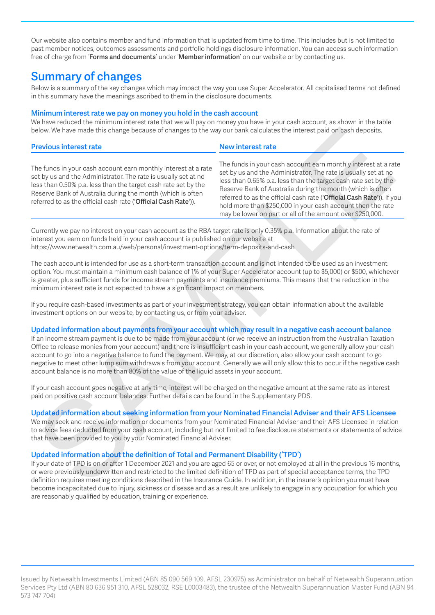Our website also contains member and fund information that is updated from time to time. This includes but is not limited to past member notices, outcomes assessments and portfolio holdings disclosure information. You can access such information free of charge from '**Forms and documents**' under '**Member information**' on our website or by contacting us.

## **Summary of changes**

Below is a summary of the key changes which may impact the way you use Super Accelerator. All capitalised terms not defined in this summary have the meanings ascribed to them in the disclosure documents.

#### **Minimum interest rate we pay on money you hold in the cash account**

We have reduced the minimum interest rate that we will pay on money you have in your cash account, as shown in the table below. We have made this change because of changes to the way our bank calculates the interest paid on cash deposits.

| below. We have made this change because of changes to the way our bank calculates the interest paid on cash deposits.                                                                                                                                                                                                                                                                                                                                                                                                                                                                                                                                                                                                           |                                                                                                                                                                                                                                                                                                                                                                                                                                                                       |
|---------------------------------------------------------------------------------------------------------------------------------------------------------------------------------------------------------------------------------------------------------------------------------------------------------------------------------------------------------------------------------------------------------------------------------------------------------------------------------------------------------------------------------------------------------------------------------------------------------------------------------------------------------------------------------------------------------------------------------|-----------------------------------------------------------------------------------------------------------------------------------------------------------------------------------------------------------------------------------------------------------------------------------------------------------------------------------------------------------------------------------------------------------------------------------------------------------------------|
| <b>Previous interest rate</b>                                                                                                                                                                                                                                                                                                                                                                                                                                                                                                                                                                                                                                                                                                   | New interest rate                                                                                                                                                                                                                                                                                                                                                                                                                                                     |
| The funds in your cash account earn monthly interest at a rate<br>set by us and the Administrator. The rate is usually set at no<br>less than 0.50% p.a. less than the target cash rate set by the<br>Reserve Bank of Australia during the month (which is often<br>referred to as the official cash rate ('Official Cash Rate')).                                                                                                                                                                                                                                                                                                                                                                                              | The funds in your cash account earn monthly interest at a rate<br>set by us and the Administrator. The rate is usually set at no<br>less than 0.65% p.a. less than the target cash rate set by the<br>Reserve Bank of Australia during the month (which is often<br>referred to as the official cash rate ('Official Cash Rate')). If you<br>hold more than \$250,000 in your cash account then the rate<br>may be lower on part or all of the amount over \$250,000. |
| Currently we pay no interest on your cash account as the RBA target rate is only 0.35% p.a. Information about the rate of<br>interest you earn on funds held in your cash account is published on our website at<br>https://www.netwealth.com.au/web/personal/investment-options/term-deposits-and-cash                                                                                                                                                                                                                                                                                                                                                                                                                         |                                                                                                                                                                                                                                                                                                                                                                                                                                                                       |
| The cash account is intended for use as a short-term transaction account and is not intended to be used as an investment<br>option. You must maintain a minimum cash balance of 1% of your Super Accelerator account (up to \$5,000) or \$500, whichever<br>is greater, plus sufficient funds for income stream payments and insurance premiums. This means that the reduction in the<br>minimum interest rate is not expected to have a significant impact on members.                                                                                                                                                                                                                                                         |                                                                                                                                                                                                                                                                                                                                                                                                                                                                       |
| If you require cash-based investments as part of your investment strategy, you can obtain information about the available<br>investment options on our website, by contacting us, or from your adviser.                                                                                                                                                                                                                                                                                                                                                                                                                                                                                                                         |                                                                                                                                                                                                                                                                                                                                                                                                                                                                       |
| Updated information about payments from your account which may result in a negative cash account balance<br>If an income stream payment is due to be made from your account (or we receive an instruction from the Australian Taxation<br>Office to release monies from your account) and there is insufficient cash in your cash account, we generally allow your cash<br>account to go into a negative balance to fund the payment. We may, at our discretion, also allow your cash account to go<br>negative to meet other lump sum withdrawals from your account. Generally we will only allow this to occur if the negative cash<br>account balance is no more than 80% of the value of the liquid assets in your account. |                                                                                                                                                                                                                                                                                                                                                                                                                                                                       |
| If your cash account goes negative at any time, interest will be charged on the negative amount at the same rate as interest<br>paid on positive cash account balances. Further details can be found in the Supplementary PDS.                                                                                                                                                                                                                                                                                                                                                                                                                                                                                                  |                                                                                                                                                                                                                                                                                                                                                                                                                                                                       |
| Updated information about seeking information from your Nominated Financial Adviser and their AFS Licensee<br>We may seek and receive information or documents from your Nominated Financial Adviser and their AFS Licensee in relation<br>that have been provided to you by your Nominated Financial Adviser.                                                                                                                                                                                                                                                                                                                                                                                                                  | to advice fees deducted from your cash account, including but not limited to fee disclosure statements or statements of advice                                                                                                                                                                                                                                                                                                                                        |
| Updated information about the definition of Total and Permanent Disability ('TPD')<br>or were previously underwritten and restricted to the limited definition of TPD as part of special acceptance terms, the TPD<br>definition requires meeting conditions described in the Insurance Guide. In addition, in the insurer's opinion you must have<br>become incorporated due to injury oichness or disease and see result are unlikely to engage in any sequention for which you                                                                                                                                                                                                                                               | If your date of TPD is on or after 1 December 2021 and you are aged 65 or over, or not employed at all in the previous 16 months,                                                                                                                                                                                                                                                                                                                                     |

#### **Updated information about payments from your account which may result in a negative cash account balance**

#### **Updated information about seeking information from your Nominated Financial Adviser and their AFS Licensee**

#### **Updated information about the definition of Total and Permanent Disability ('TPD')**

If your date of TPD is on or after 1 December 2021 and you are aged 65 or over, or not employed at all in the previous 16 months, or were previously underwritten and restricted to the limited definition of TPD as part of special acceptance terms, the TPD definition requires meeting conditions described in the Insurance Guide. In addition, in the insurer's opinion you must have become incapacitated due to injury, sickness or disease and as a result are unlikely to engage in any occupation for which you are reasonably qualified by education, training or experience.

Issued by Netwealth Investments Limited (ABN 85 090 569 109, AFSL 230975) as Administrator on behalf of Netwealth Superannuation Services Pty Ltd (ABN 80 636 951 310, AFSL 528032, RSE L0003483), the trustee of the Netwealth Superannuation Master Fund (ABN 94 573 747 704)